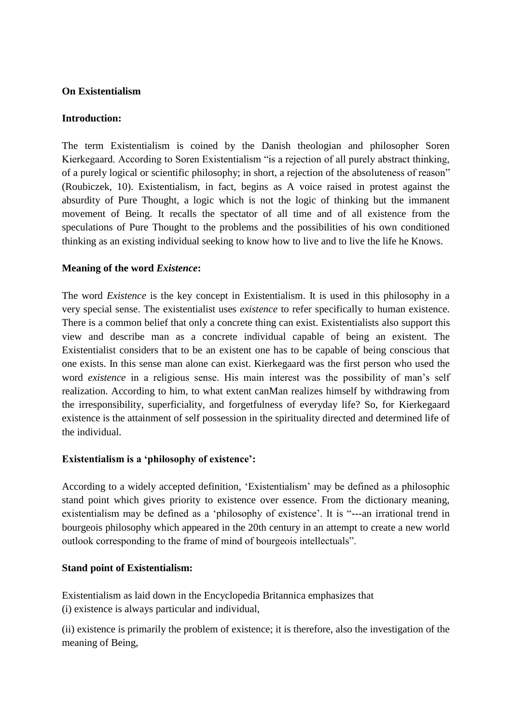# **On Existentialism**

### **Introduction:**

The term Existentialism is coined by the Danish theologian and philosopher Soren Kierkegaard. According to Soren Existentialism "is a rejection of all purely abstract thinking, of a purely logical or scientific philosophy; in short, a rejection of the absoluteness of reason" (Roubiczek, 10). Existentialism, in fact, begins as A voice raised in protest against the absurdity of Pure Thought, a logic which is not the logic of thinking but the immanent movement of Being. It recalls the spectator of all time and of all existence from the speculations of Pure Thought to the problems and the possibilities of his own conditioned thinking as an existing individual seeking to know how to live and to live the life he Knows.

## **Meaning of the word** *Existence***:**

The word *Existence* is the key concept in Existentialism. It is used in this philosophy in a very special sense. The existentialist uses *existence* to refer specifically to human existence. There is a common belief that only a concrete thing can exist. Existentialists also support this view and describe man as a concrete individual capable of being an existent. The Existentialist considers that to be an existent one has to be capable of being conscious that one exists. In this sense man alone can exist. Kierkegaard was the first person who used the word *existence* in a religious sense. His main interest was the possibility of man's self realization. According to him, to what extent canMan realizes himself by withdrawing from the irresponsibility, superficiality, and forgetfulness of everyday life? So, for Kierkegaard existence is the attainment of self possession in the spirituality directed and determined life of the individual.

# **Existentialism is a 'philosophy of existence':**

According to a widely accepted definition, 'Existentialism' may be defined as a philosophic stand point which gives priority to existence over essence. From the dictionary meaning, existentialism may be defined as a 'philosophy of existence'. It is "---an irrational trend in bourgeois philosophy which appeared in the 20th century in an attempt to create a new world outlook corresponding to the frame of mind of bourgeois intellectuals".

#### **Stand point of Existentialism:**

Existentialism as laid down in the Encyclopedia Britannica emphasizes that (i) existence is always particular and individual,

(ii) existence is primarily the problem of existence; it is therefore, also the investigation of the meaning of Being,